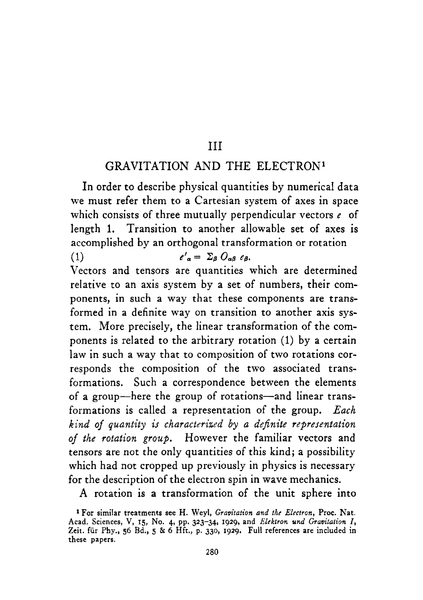#### I11

#### **GRAVITATION AND THE ELECTRON'**

In order to describe physical quantities by numerical data we must refer them to a Cartesian system of axes in space which consists of three mutually perpendicular vectors *e* of length 1. Transition to another allowable set of axes is accomplished by an orthogonal transformation or rotation (1)  $e'_{\alpha} = \sum_{\beta} O_{\alpha\beta} e_{\beta}$ Vectors and tensors are quantities which are determined relative to an axis system by a set of numbers, their components, in such a way that these components are transformed in a definite way on transition to another axis system. More precisely, the linear transformation of the components is related to the arbitrary rotation (1) by a certain law in such a way that to composition of two rotations corresponds the composition of the two associated transformations. Such a correspondence between the elements of a group-here the group of rotations-and linear transformations is called a representation of the group. *Each kind* of *quantity is characterized by a definite representation of the rotation group.* However the familiar vectors and tensors are not the only quantities of this kind; a possibility which had not cropped up previously in physics is necessary for the description of the electron spin in wave mechanics.

**A** rotation is **a** transformation of the unit sphere into

<sup>\*</sup> For **similar treatments see H. Weyl,** *Craoitation and de Electron,* **Proc. Nat. Acad. Sciences, V, 15, No. 4, pp. 323-34, 1929, and** *Elektron und Gravitation I,*  **Zeit. fur Phy., 56 Bd.,** *5* & *6* Hft., **p. 330, 1929. Full references are included in these papers.**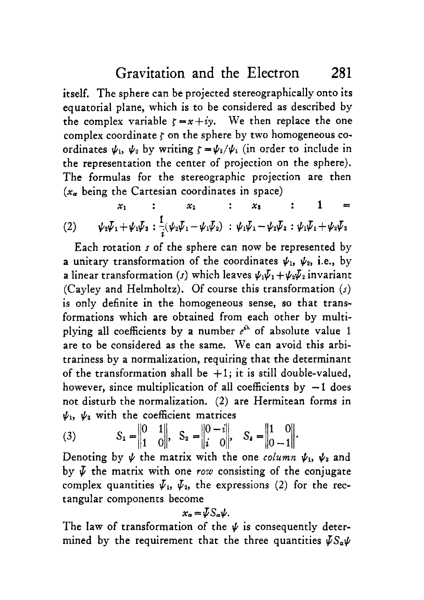itself. The sphere can be projected stereographically onto its equatorial plane, which is to be considered as described by the complex variable  $\zeta = x + iy$ . We then replace the one complex coordinate  $\zeta$  on the sphere by two homogeneous coordinates  $\psi_1$ ,  $\psi_2$  by writing  $\zeta = \psi_2/\psi_1$  (in order to include in the representation the center of projection on the sphere). The formulas for the stereographic projection are then  $(x_{\alpha})$  being the Cartesian coordinates in space)

(2) 
$$
\psi_2 \bar{\psi}_1 + \psi_1 \bar{\psi}_2 : \frac{1}{i} (\psi_2 \bar{\psi}_1 - \psi_1 \bar{\psi}_2) : \psi_1 \bar{\psi}_1 - \psi_2 \bar{\psi}_2 : \psi_1 \bar{\psi}_1 + \psi_2 \bar{\psi}_2
$$

Each rotation *s* of the sphere can now be represented by a unitary transformation of the coordinates  $\psi_1$ ,  $\psi_2$ , i.e., by a linear transformation (s) which leaves  $\psi_1 \bar{\psi}_1 + \psi_2 \bar{\psi}_2$  invariant (Cayley and Helmholtz). Of course this transformation *(5)*  is only definite in the homogeneous sense, so that transformations which are obtained from each other by multiplying all coefficients by a number  $e^{i\lambda}$  of absolute value 1 are to be considered as the same. We can avoid this arbitrariness by a normalization, requiring that the determinant of the transformation shall be  $+1$ ; it is still double-valued, however, since multiplication of all coefficients by  $-1$  does not disturb the normalization. **(2)** are Hermitean forms in  $\nu_1$ ,  $\nu_2$  with the coefficient matrices

(3) 
$$
S_1 = \begin{Vmatrix} 0 & 1 \\ 1 & 0 \end{Vmatrix}, S_2 = \begin{Vmatrix} 0 & -i \\ i & 0 \end{Vmatrix}, S_3 = \begin{Vmatrix} 1 & 0 \\ 0 & -1 \end{Vmatrix}.
$$

Denoting by  $\psi$  the matrix with the one *column*  $\psi_1$ ,  $\psi_2$  and by  $\bar{\psi}$  the matrix with one *row* consisting of the conjugate complex quantities  $\mathbf{F}_1$ ,  $\mathbf{F}_2$ , the expressions (2) for the rectangular components become

$$
x_{\alpha}=\mathcal{J}S_{\alpha}\mathcal{V}.
$$

The law of transformation of the  $\psi$  is consequently determined by the requirement that the three quantities  $\bar{\psi}S_{a}\psi$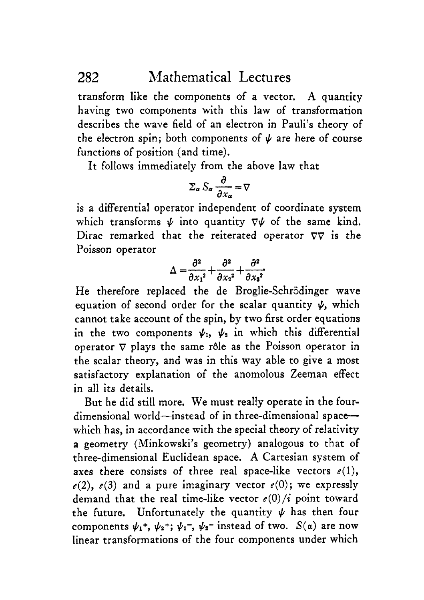transform like the components of a vector, **A** quantity having two components with this law of transformation describes the wave field of an electron in Pauli's theory of the electron spin; both components of  $\psi$  are here of course functions of position (and time).

It follows immediately from the above law that

$$
\Sigma_{\alpha} S_{\alpha} \frac{\partial}{\partial x_{\alpha}} = \nabla
$$

is a differential operator independent of coordinate system which transforms  $\psi$  into quantity  $\nabla \psi$  of the same kind. Dirac remarked that the reiterated operator **VV is** the Poisson operator

$$
\Delta = \frac{\partial^2}{\partial x_1^2} + \frac{\partial^2}{\partial x_2^2} + \frac{\partial^2}{\partial x_3^2}.
$$

He therefore replaced the de Broglie-Schrodinger wave equation of second order for the scalar quantity  $\psi$ , which cannot take account of the spin, by two first order equations in the two components  $\psi_1$ ,  $\psi_2$  in which this differential operator  $\nabla$  plays the same rôle as the Poisson operator in the scalar theory, and was in this way able to give a most satisfactory explanation of the anomolous Zeeman effect in all its details.

But he did still more. We must really operate in the fourdimensional world-instead of in three-dimensional spacewhich has, in accordance with the special theory of relativity **a** geometry (Minkowski's geometry) analogous to that of three-dimensional Euclidean space. **A** Cartesian system of axes there consists of three real space-like vectors  $e(1)$ ,  $e(2)$ ,  $e(3)$  and a pure imaginary vector  $e(0)$ ; we expressly demand that the real time-like vector  $e(0)/i$  point toward the future. Unfortunately the quantity  $\psi$  has then four components  $\psi_1^+$ ,  $\psi_2^+$ ;  $\psi_1^-$ ,  $\psi_2^-$  instead of two. *S(a)* are now linear transformations of the four components under which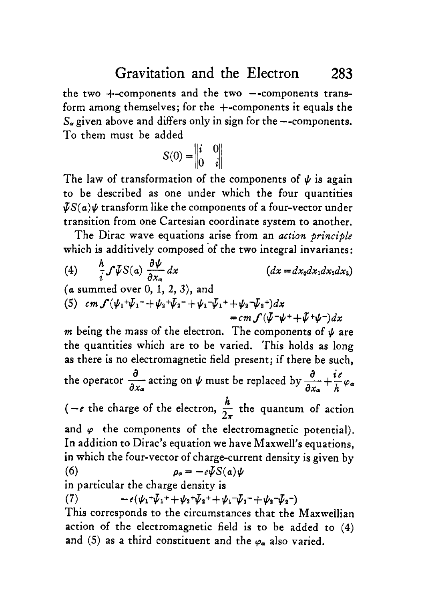the two  $+$ -components and the two  $-$ -components transform among themselves; for the +-components it equals the *S<sub>a</sub>* given above and differs only in sign for the --components. To them must be added

$$
S(0) = \begin{vmatrix} i & 0 \\ 0 & i \end{vmatrix}
$$

The law of transformation of the components of  $\psi$  is again to be described as one under which the four quantities  $\sqrt[x]{S(a)}$  *t* transform like the components of a four-vector under transition from one Cartesian coordinate system to another.

The Dirac wave equations arise from an *action principle*  which is additively composed of the two integral invariants:

(4) 
$$
\frac{h}{i} \mathcal{J}\psi S(a) \frac{\partial \psi}{\partial x_{\alpha}} dx
$$
  $(dx = dx_0 dx_1 dx_2 dx_3)$   
\n(a summed over 0, 1, 2, 3), and  
\n(5)  $cm \mathcal{J}(\psi_1 + \psi_1 - + \psi_2 + \psi_2 - + \psi_1 - \psi_1 + + \psi_2 - \psi_2 +) dx$   
\n $= cm \mathcal{J}(\psi_1 + \psi_1 + \psi_2 + \psi_2)$   
\n*m* being the mass of the electron. The components of  $\psi$  are  
\nthe quantities which are to be varied. This holds as long  
\nas there is no electromagnetic field present; if there be such,  
\nthe operator  $\frac{\partial}{\partial x_{\alpha}}$  acting on  $\psi$  must be replaced by  $\frac{\partial}{\partial x_{\alpha}} + \frac{i e}{h} \varphi_{\alpha}$   
\n(-*e* the charge of the electron,  $\frac{h}{2\pi}$  the quantum of action  
\nand  $\varphi$  the components of the electromagnetic potential).  
\nIn addition to Dirac's equation we have Maxwell's equations,  
\nin which the four-vector of charge-current density is given by  
\n(6)  $\rho_{\alpha} = -e\psi S(\alpha)\psi$   
\nin particular the charge density is  
\n(7)  $-e(\psi_1 + \psi_1 + \psi_2 + \psi_2 + \psi_1 + \psi_1 - \psi_2 - \psi_2)$   
\nThis corresponds to the circumstances that the Maxwellian

action of the electromagnetic field is to be added to **(4)**  and  $(5)$  as a third constituent and the  $\varphi_a$  also varied.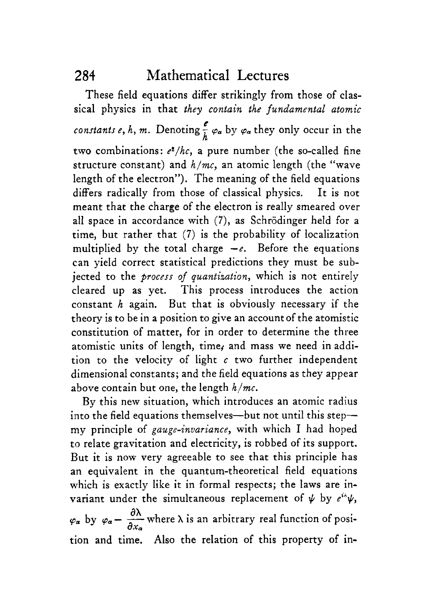These field equations differ strikingly from those of classical physics in that *they contain the fundamental atomic constants e, h, m.* Denoting  $\frac{e}{h}$   $\varphi_{\alpha}$  by  $\varphi_{\alpha}$  they only occur in the two combinations: *e2/hc,* a pure number (the so-called fine structure constant) and *h/mc,* an atomic length (the "wave length of the electron"). The meaning of the field equations differs radically from those of classical physics, It is not meant that the charge of the electron is really smeared over all space in accordance with (7), as Schrödinger held for a time, but rather that **(7)** is the probability of localization multiplied by the total charge  $-e$ . Before the equations can yield correct statistical predictions they must be subjected to the *process of quantization,* which is not entirely cleared up as yet. This process introduces the action constant *h* again. But that is obviously necessary if the theory is to be in a position to give an account of the atomistic constitution of matter, for in order to determine the three atomistic units of length, time, and mass we need in addition to the velocity of light *c* two further independent dimensional constants; and the field equations as they appear above contain but one, the length *h/mc. h* 

By this new situation, which introduces an atomic radius into the field equations themselves--but not until this step-my principle of *gauge-invariance,* with which I had hoped to relate gravitation and electricity, **is** robbed of its support. But it is now very agreeable to see that this principle has an equivalent in the quantum-theoretical field equations which is exactly like it in formal respects; the laws are invariant under the simultaneous replacement of  $\psi$  by  $e^{i\lambda}\psi$ , aλ  $\varphi_{\alpha}$  by  $\varphi_{\alpha} - \frac{\partial \lambda}{\partial x_{\alpha}}$  where  $\lambda$  is an arbitrary real function of position and time, **Also** the relation of this property of in-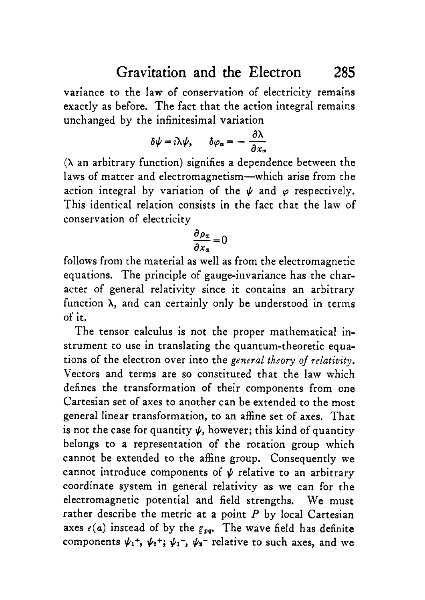### Gravitation and the Electron **285**

variance to the law of conservation of electricity remains exactly as before. The fact that the action integral remains unchanged by the infinitesimal variation

$$
\delta \psi = i \lambda \psi, \qquad \delta \varphi_a = - \frac{\partial \lambda}{\partial x_a}
$$

**(A** an arbitrary function) signifies a dependence between the laws of matter and electromagnetism-which arise from the action integral by variation of the  $\psi$  and  $\varphi$  respectively. This identical relation consists in the fact that the law of conservation of electricity

$$
\frac{\partial \rho_a}{\partial x_a} = 0
$$

follows from the material as well as from the electromagnetic equations. The principle of gauge-invariance has the character of general relativity since it contains an arbitrary function *h,* and can certainly only be understood in terms of it.

The tensor calculus is not the proper mathematical instrument to use in translating the quantum-theoretic equations of the electron over into the *general theory of relativity.*  Vectors and terms are so constituted that the law which defines the transformation of their components from one Cartesian set of axes to another can be extended to the most general linear transformation, to an affine set of axes. That is not the case for quantity  $\psi$ , however; this kind of quantity belongs to a representation of the rotation group which cannot be extended to the affine group. Consequently we cannot introduce components of  $\psi$  relative to an arbitrary coordinate system in general relativity as we can for the electromagnetic potential and field strengths. We must rather describe the metric at a point *P* by local Cartesian axes  $e(a)$  instead of by the  $g_{pq}$ . The wave field has definite components  $\psi_1^+, \psi_2^+, \psi_1^-, \psi_3^-$  relative to such axes, and we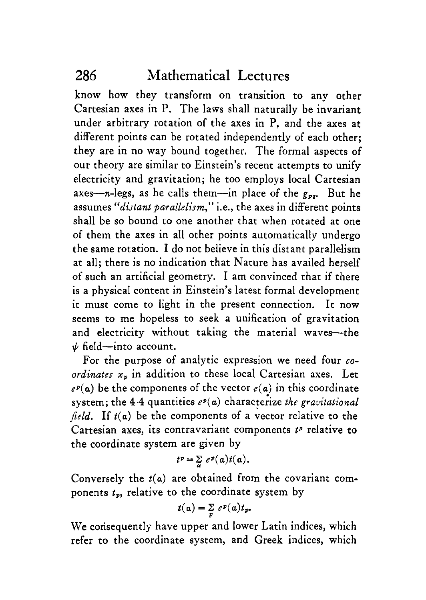know how they transform on transition to any other Cartesian axes in P. The laws shall naturally be invariant under arbitrary rotation of the axes in P, and the axes at different points can be rotated independently of each other; they are in no way bound together. The formal aspects of our theory are similar to Einstein's recent attempts to unify electricity and gravitation; he too employs local Cartesian axes--n-legs, as he calls them-in place of the  $g_{\textit{pos}}$ . But he assumes "*distant parallelism*," *i.e.*, the axes in different points shall be so bound to one another that when rotated at one of them the axes in all other points automatically undergo the same rotation. I do not believe in this distant parallelism at all; there is no indication that Nature has availed herself of such an artificial geometry. I am convinced that if there is a physical content in Einstein's latest formal development it must come to light in the present connection, It now seems to me hopeless to seek a unification of gravitation and electricity without taking the material waves--the  $\nu$  field-into account.

For the purpose of analytic expression we need four **co***ordinates*  $x_p$  in addition to these local Cartesian axes. Let  $e^p(a)$  be the components of the vector  $e(a)$  in this coordinate system; the  $4.4$  quantities  $e^p(a)$  characterize the gravitational *field.* If  $t(a)$  be the components of a vector relative to the Cartesian axes, its contravariant components *t*<sup>p</sup> relative to the coordinate system are given by

$$
t^p = \sum_{\alpha} e^p(\alpha) t(\alpha).
$$

Conversely the *t(a)* are obtained from the covariant components *tp,* relative to the coordinate system by

$$
t(\mathfrak{a})=\sum_{p} e^{p}(\mathfrak{a})t_{p}.
$$

We consequently have upper and lower Latin indices, which refer to the coordinate system, and Greek indices, which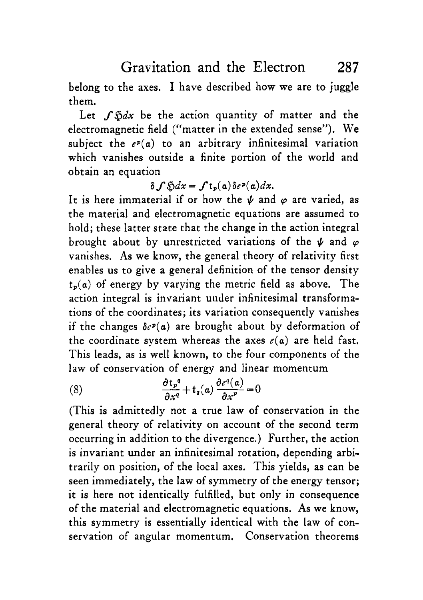belong to the axes, I have described how we are to juggle them.

Let  $\int \mathfrak{S} dx$  be the action quantity of matter and the electromagnetic field ("matter in the extended sense"). We subject the  $e^p(a)$  to an arbitrary infinitesimal variation which vanishes outside a finite portion of the world and obtain an equation

$$
\delta \int \mathfrak{D} dx = \int t_p(a) \delta e^p(a) dx.
$$

It is here immaterial if or how the  $\psi$  and  $\varphi$  are varied, as the material and electromagnetic equations are assumed to hold; these latter state that the change in the action integral brought about by unrestricted variations of the  $\psi$  and  $\varphi$ vanishes. **As** we know, the general theory of relativity first enables us to give a general definition of the tensor density  $t_n(a)$  of energy by varying the metric field as above. The action integral is invariant under infinitesimal transformations of the coordinates; its variation consequently vanishes if the changes  $\delta e^p(a)$  are brought about by deformation of the coordinate system whereas the axes  $e(a)$  are held fast. This leads, as is well known, to the four components of the law of conservation of energy and linear momentum

(8) 
$$
\frac{\partial \mathbf{t}_{p}^{q}}{\partial x^{q}} + \mathbf{t}_{q}(a) \frac{\partial e^{q}(a)}{\partial x^{p}} = 0
$$

(This **is** admittedly not a true law of conservation in the general theory of relativity on account of the second term occurring in addition to the divergence.) Further, the action is invariant under an infinitesimal rotation, depending arbitrarily on position, of the local axes. This yields, as can be seen immediately, the law **of** symmetry of the energy tensor; it is here not identically fulfilled, but only in consequence of the material and electromagnetic equations. **As** we know, this symmetry is essentially identical with the law of conservation of angular momentum. Conservation theorems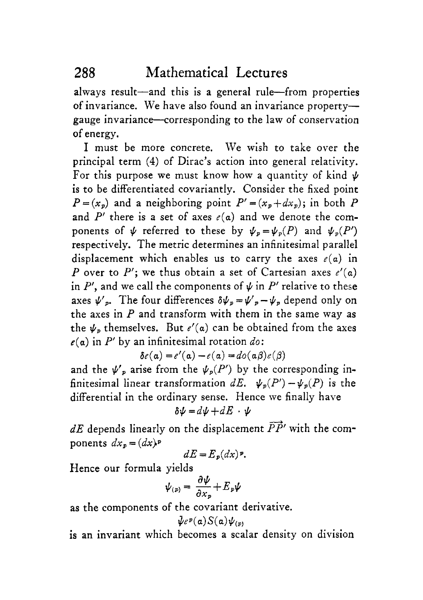always result-and this is a general rule-from properties of invariance. We have also found an invariance propertygauge invariance-corresponding to the law of conservation of energy.

I must be more concrete. We wish to take over the principal term **(4)** of Dirac's action into general relativity. For this purpose we must know how a quantity of kind  $\psi$ is to be differentiated covariantly. Consider the fixed point  $P=(x_p)$  and a neighboring point  $P'=(x_p+dx_p)$ ; in both *P* and  $P'$  there is a set of axes  $e(a)$  and we denote the components of  $\psi$  referred to these by  $\psi_n = \psi_n(P)$  and  $\psi_n(P')$ respectively. The metric determines an infinitesimal parallel displacement which enables us to carry the axes  $e(a)$  in *P* over to *P'*; we thus obtain a set of Cartesian axes  $e'(a)$ in  $P'$ , and we call the components of  $\psi$  in  $P'$  relative to these axes  $\psi'_n$ . The four differences  $\delta \psi_n = \psi'_n - \psi_n$  depend only on the axes in *P* and transform with them in the same way as the  $\psi_n$  themselves. But  $e'(a)$  can be obtained from the axes *e(a)* in *P'* by an infinitesimal rotation *do:* 

 $\delta e(a) = e'(a) - e(a) = do(a\beta)e(\beta)$ 

and the  $\psi'_n$  arise from the  $\psi_n(P')$  by the corresponding infinitesimal linear transformation  $dE$ .  $\psi_n(P') - \psi_n(P)$  is the differential in the ordinary sense. Hence we finally have

$$
\delta \psi = d\psi + dE \cdot \psi
$$

 $dE$  depends linearly on the displacement  $\overrightarrow{PP}'$  with the components  $dx_p = (dx)^p$ 

$$
dE = E_p(dx)^p.
$$

Hence our formula yields

$$
\psi_{(p)} = \frac{\partial \psi}{\partial x_p} + E_p \psi
$$

as the components of the covariant derivative.

$$
\tilde{\pmb{\psi}} e^{\pmb{p}}(\pmb{a}) S(\pmb{a}) \pmb{\psi}_{(\pmb{p})}
$$

**is** an invariant which becomes a scalar density on division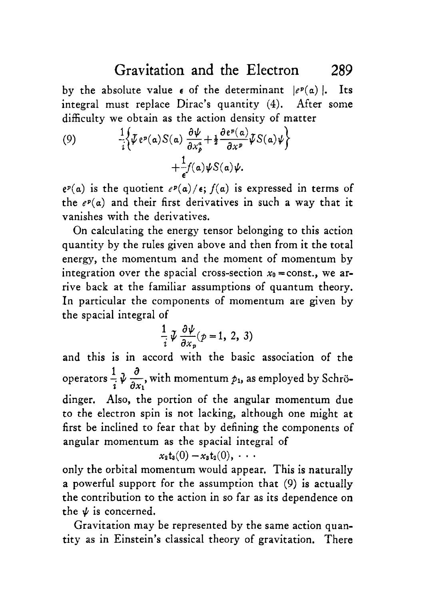## Gravitation and the Electron 289

by the absolute value  $\epsilon$  of the determinant  $|e^{p}(\alpha)|$ . Its integral must replace Dirac's quantity (4). After some difficulty we obtain as the action density of matter

(9) 
$$
\frac{1}{i} \Big\{ \psi e^p(\alpha) S(\alpha) \frac{\partial \psi}{\partial x_p^{\alpha}} + \frac{1}{2} \frac{\partial e^p(\alpha)}{\partial x^p} \psi S(\alpha) \psi \Big\} + \frac{1}{\epsilon} f(\alpha) \psi S(\alpha) \psi.
$$

 $e^{p}(a)$  is the quotient  $e^{p}(a)/\epsilon$ ;  $f(a)$  is expressed in terms of the  $e^p(a)$  and their first derivatives in such a way that it vanishes with the derivatives.

On calculating the energy tensor belonging to this action quantity by the rules given above and then from it the total energy, the momentum and the moment of momentum by integration over the spacial cross-section  $x_0$  = const., we arrive back at the familiar assumptions of quantum theory. In particular the components of momentum are given by the spacial integral of

$$
\frac{1}{i}\,\mathcal{Y}\,\frac{\partial\psi}{\partial x_p}(p=1,\ 2,\ 3)
$$

and this is in accord with the basic association of the and this is in accord with the basic association of the<br>operators  $\frac{1}{i} \hat{\psi} \frac{\partial}{\partial x_1}$ , with momentum  $p_1$ , as employed by Schrödinger. **Also,** the portion of the angular momentum due to the electron spin is not lacking, although one might at first be inclined to fear that by defining the components of angular momentum as the spacial integral of  $1, \partial$  $i$   $\partial x_1$ <sup>'</sup>

$$
x_2t_3(0)-x_3t_2(0),\cdots
$$

only the orbital momentum would appear. This is naturally a powerful support for the assumption that (9) is actually the contribution to the action in so far as its dependence on the  $\nu$  is concerned.

Gravitation may be represented by the same action quantity as in Einstein's classical theory of gravitation. There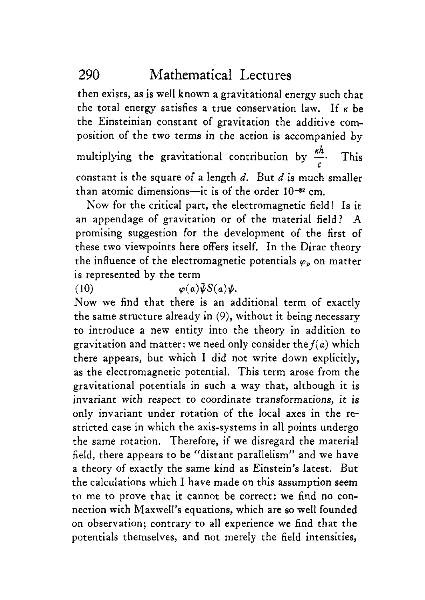then exists, as is well known a gravitational energy such that the total energy satisfies a true conservation law. If *K* be the Einsteinian constant of gravitation the additive composition of the two terms in the action is accompanied by multiplying the gravitational contribution by  $\frac{\kappa h}{c}$ . This constant is the square of a length *d.* But *d* is much smaller than atomic dimensions-it is of the order  $10^{-32}$  cm.

Now for the critical part, the electromagnetic field! Is it an appendage of gravitation or of the material field? **A**  promising suggestion for the development of the first of these two viewpoints here offers itself. In the Dirac theory the influence of the electromagnetic potentials  $\varphi_p$  on matter is represented by the term

(10)  $\varphi(a)\tilde{\psi}S(a)\psi.$ 

Now we find that there is an additional term of exactly the same structure already in (9), without it being necessary to introduce a new entity into the theory in addition to gravitation and matter: we need only consider thef( *u)* which there appears, but which I did not write down explicitly, as the electromagnetic potential. This term arose from the gravitational potentials in such a way that, although it is invariant with respect to coordinate transformations, it **is**  only invariant under rotation of the local axes in the restricted case in which the axis-systems in all points undergo the same rotation, Therefore, if we disregard the material field, there appears to be "distant parallelism" and we have a theory of exactly the same kind as Einstein's latest. But the calculations which I have made on this assumption seem to me to prove that it cannot be correct: we find no connection with Maxwell's equations, which are so well founded on observation; contrary to all experience we find that the potentials themselves, and not merely the field intensities,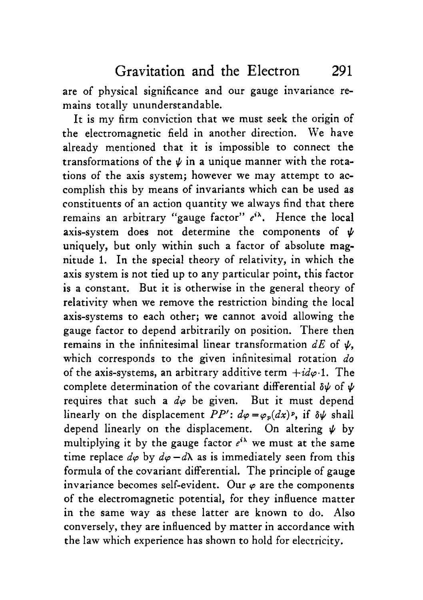are of physical significance and our gauge invariance remains tot ally ununderstandable.

It is my firm conviction that we must seek the origin of the electromagnetic field in another direction. We have already mentioned that it is impossible to connect the transformations of the  $\psi$  in a unique manner with the rotations of the axis system; however we may attempt to accomplish this by means of invariants which can be used as constituents of an action quantity we always find that there remains an arbitrary "gauge factor"  $e^{i\lambda}$ . Hence the local axis-system does not determine the components of  $\psi$ uniquely, but only within such a factor of absolute magnitude 1. In the special theory of relativity, in which the axis system is not tied up to any particular point, this factor **is** a constant. But it is otherwise in the general theory of relativity when we remove the restriction binding the local axis-systems to each other; we cannot avoid allowing the gauge factor to depend arbitrarily on position. There then remains in the infinitesimal linear transformation  $dE$  of  $\psi$ . which corresponds to the given infinitesimal rotation *do*  of the axis-systems, an arbitrary additive term  $+i d\varphi$  1. The complete determination of the covariant differential  $\delta \psi$  of  $\psi$ requires that such a  $d\varphi$  be given. But it must depend linearly on the displacement  $PP'$ :  $d\varphi = \varphi_p(dx)^p$ , if  $\delta \psi$  shall depend linearly on the displacement. On altering  $\psi$  by multiplying it by the gauge factor  $e^{i\lambda}$  we must at the same time replace  $d\varphi$  by  $d\varphi - d\lambda$  as is immediately seen from this formula of the covariant differential. The principle of gauge invariance becomes self-evident. Our  $\varphi$  are the components of the electromagnetic potential, for they influence matter in the same way as these latter are known to do. Also conversely, they are influenced by matter in accordance with the law which experience has shown to hold for electricity.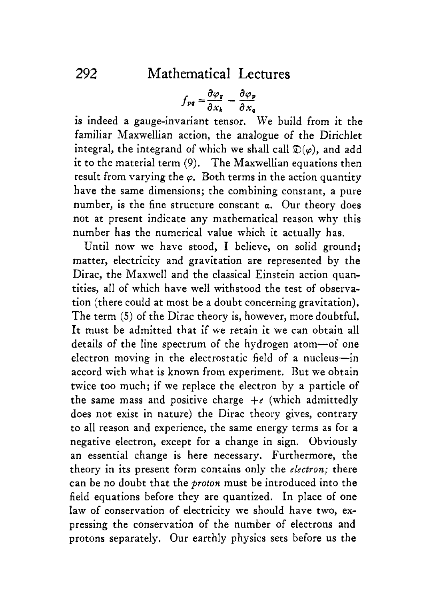$$
f_{pq} = \frac{\partial \varphi_q}{\partial x_k} - \frac{\partial \varphi_p}{\partial x_q}
$$

**is** indeed a gauge-invariant tensor. We build from it the familiar Maxwellian action, the analogue of the Dirichlet integral, the integrand of which we shall call  $\mathfrak{D}(\varphi)$ , and add it to the material term (9). The Maxwellian equations then result from varying the **p.** Both terms in the action quantity have the same dimensions; the combining constant, a pure number, is the fine structure constant *a.* Our theory does not at present indicate any mathematical reason why this number has the numerical value which it actually has.

Until now we have stood, I believe, on solid ground; matter, electricity and gravitation are represented by the Dirac, the Maxwell and the classical Einstein action quantities, all of which have well withstood the test of observation (there could at most be a doubt concerning gravitation), The term *(5)* of the Dirac theory is, however, more doubtful, It must be admitted that if we retain it we can obtain all details of the line spectrum of the hydrogen atom-of one electron moving in the electrostatic field of a nucleus-in accord with what is known from experiment. But we obtain twice too much; if we replace the electron by a particle of the same mass and positive charge  $+e$  (which admittedly does not exist in nature) the Dirac theory gives, contrary to all reason and experience, the same energy terms as for a negative electron, except for a change in sign. Obviously an essential change is here necessary. Furthermore, the theory in its present form contains only the *electron;* there can be no doubt that the *proton* must be introduced into the field equations before they are quantized. In place of one law of conservation of electricity we should have two, expressing the conservation of the number of electrons and protons separately, Our earthly physics sets before us the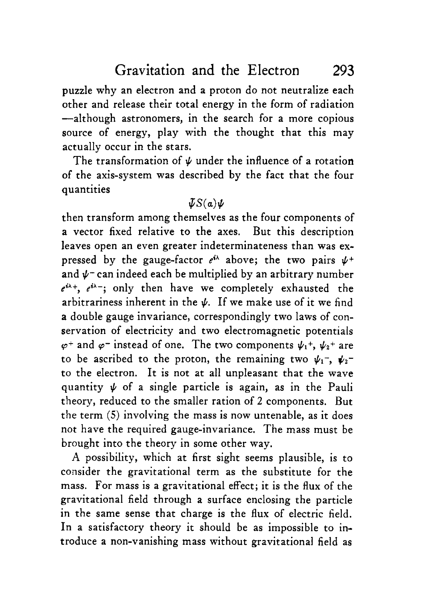puzzle why an electron and a proton do not neutralize each other and release their total energy in the form of radiation -although astronomers, in the search for a more copious source of energy, play with the thought that this may actually occur in the stars.

The transformation of  $\psi$  under the influence of a rotation of the axis-system was described by the fact that the four quantities

#### $\mathcal{I}S(a)\psi$

then transform among themselves as the four components of a vector fixed relative to the axes. But this description leaves open an even greater indeterminateness than was expressed by the gauge-factor  $e^{i\lambda}$  above; the two pairs  $\psi$ <sup>+</sup> and  $\psi$ -can indeed each be multiplied by an arbitrary number  $e^{i\lambda t}$ ,  $e^{i\lambda t}$ ; only then have we completely exhausted the arbitrariness inherent in the  $\psi$ . If we make use of it we find a double gauge invariance, correspondingly two laws of conservation of electricity and two electromagnetic potentials  $\varphi^+$  and  $\varphi^-$  instead of one. The two components  $\psi_1^+$ ,  $\psi_2^+$  are to be ascribed to the proton, the remaining two  $\psi_1$ ,  $\psi_2$ to the electron. It is not at all unpleasant that the wave quantity  $\psi$  of a single particle is again, as in the Pauli theory, reduced to the smaller ration of **2** components. But the term *(5)* involving the mass is now untenable, as it does not have the required gauge-invariance. The mass must be brought into the theory in some other way.

**A** possibility, which at first sight seems plausible, is to consider the gravitational term as the substitute for the mass. For mass is a gravitational effect; it is the flux of the gravitational field through a surface enclosing the particle in the same sense that charge is the flux of electric field. In a satisfactory theory it should be as impossible to introduce a non-vanishing mass without gravitational field as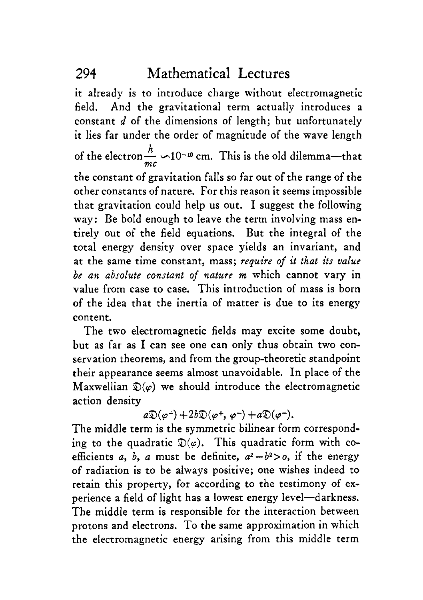it already **is** to introduce charge without electromagnetic field. And the gravitational term actually introduces a constant *d* of the dimensions of length; but unfortunately it lies far under the order of magnitude of the wave length *h*  of the electron $\frac{n}{mc}$   $\sim$ 10<sup>-10</sup> cm. This is the old dilemma—that the constant of gravitation falIs so far out of the range of the other constants of nature. For this reason it seems impossible that gravitation could help us out. I suggest the following way: Be bold enough to leave the term involving mass entirely out of the field equations. But the integral of the total energy density over space yields an invariant, and at the same time constant, mass; *require of it that its value be an absolute constant of nature m* which cannot vary in value from case to case. This introduction of mass is born of the idea that the inertia of matter is due to its energy content.

The two electromagnetic fields may excite some doubt, but as far as I can see one can only thus obtain two conservation theorems, and from the group-theoretic standpoint their appearance seems almost unavoidable. In place of the Maxwellian *D(q)* we should introduce the electromagnetic action density

#### $a\mathfrak{D}(\varphi^+)$  +  $2b\mathfrak{D}(\varphi^+, \varphi^-)$  +  $a\mathfrak{D}(\varphi^-)$ .

The middle term is the symmetric bilinear form corresponding to the quadratic  $\mathfrak{D}(\varphi)$ . This quadratic form with coefficients *a*, *b*, *a* must be definite,  $a^2 - b^2 > 0$ , if the energy of radiation is to be always positive; one wishes indeed to retain this property, for according to the testimony of experience a field of light has **a** lowest energy level-darkness. The middle term is responsible for the interaction between protons and electrons. To the same approximation in which the electromagnetic energy arising from this middle term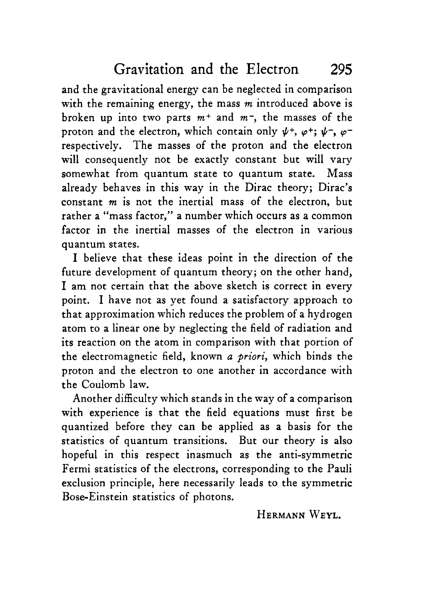and the gravitational energy can be neglected in comparison with the remaining energy, the mass *m* introduced above is broken up into two parts *m+* and *m-,* the masses of the proton and the electron, which contain only  $\psi^+$ ,  $\varphi^+$ ;  $\psi^-$ ,  $\varphi^$ respectively. The masses of the proton and the electron will consequently not be exactly constant but will vary somewhat from quantum state to quantum state. Mass already behaves in this way in the Dirac theory; Dirac's constant *m* is not the inertial mass of the electron, but rather a "mass factor," a number which occurs as a common factor in the inertial masses of the electron in various quantum states.

I believe that these ideas point in the direction of the future development of quantum theory; on the other hand, I am not certain that the above sketch is correct in every point. I have not as yet found a satisfactory approach to that approximation which reduces the problem of a hydrogen atom to a linear one by neglecting the field of radiation and its reaction on the atom in comparison with that portion of the electromagnetic field, known *u priori,* which binds the proton and the electron to one another in accordance with the Coulomb law.

Another difficulty which stands in the way of a comparison with experience is that the field equations must first be quantized before they can be applied as a basis for the statistics of quantum transitions. But our theory is also hopeful in this respect inasmuch as the anti-symmetric Fermi statistics of the electrons, corresponding to the Pauli exclusion principle, here necessarily leads to the symmetric Bose-Einstein statistics of photons.

H **ERMANN** W **EYL.**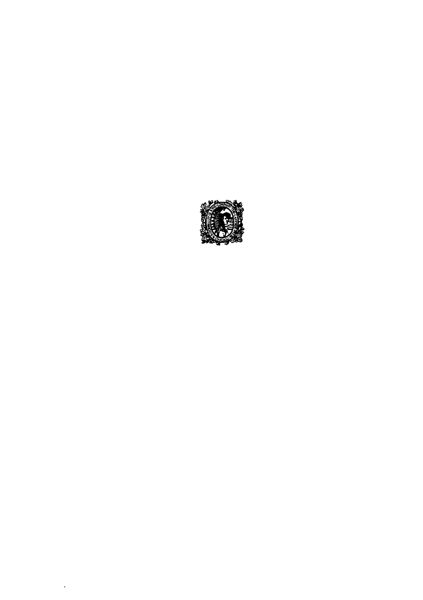